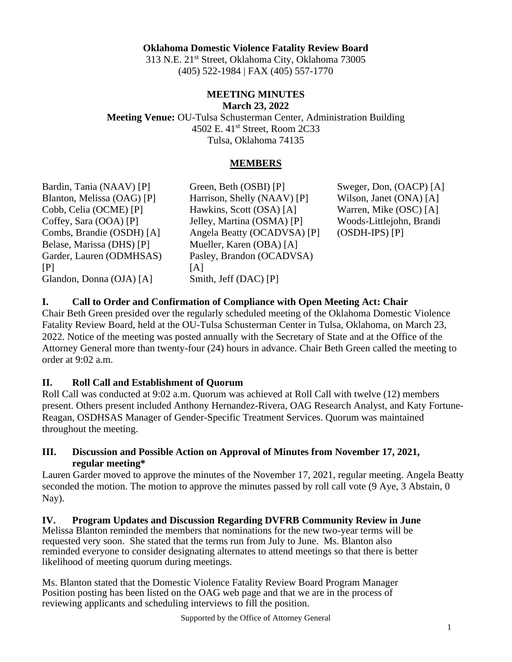## **Oklahoma Domestic Violence Fatality Review Board**

313 N.E. 21st Street, Oklahoma City, Oklahoma 73005 (405) 522-1984 | FAX (405) 557-1770

#### **MEETING MINUTES March 23, 2022**

**Meeting Venue:** OU-Tulsa Schusterman Center, Administration Building 4502 E. 41st Street, Room 2C33 Tulsa, Oklahoma 74135

#### **MEMBERS**

Bardin, Tania (NAAV) [P] Blanton, Melissa (OAG) [P] Cobb, Celia (OCME) [P] Coffey, Sara (OOA) [P] Combs, Brandie (OSDH) [A] Belase, Marissa (DHS) [P] Garder, Lauren (ODMHSAS)  $[P]$ Glandon, Donna (OJA) [A]

Green, Beth (OSBI) [P] Harrison, Shelly (NAAV) [P] Hawkins, Scott (OSA) [A] Jelley, Martina (OSMA) [P] Angela Beatty (OCADVSA) [P] Mueller, Karen (OBA) [A] Pasley, Brandon (OCADVSA) [A] Smith, Jeff (DAC) [P]

Sweger, Don, (OACP) [A] Wilson, Janet (ONA) [A] Warren, Mike (OSC) [A] Woods-Littlejohn, Brandi (OSDH-IPS) [P]

**I. Call to Order and Confirmation of Compliance with Open Meeting Act: Chair**

Chair Beth Green presided over the regularly scheduled meeting of the Oklahoma Domestic Violence Fatality Review Board, held at the OU-Tulsa Schusterman Center in Tulsa, Oklahoma, on March 23, 2022. Notice of the meeting was posted annually with the Secretary of State and at the Office of the Attorney General more than twenty-four (24) hours in advance. Chair Beth Green called the meeting to order at 9:02 a.m.

## **II. Roll Call and Establishment of Quorum**

Roll Call was conducted at 9:02 a.m. Quorum was achieved at Roll Call with twelve (12) members present. Others present included Anthony Hernandez-Rivera, OAG Research Analyst, and Katy Fortune-Reagan, OSDHSAS Manager of Gender-Specific Treatment Services. Quorum was maintained throughout the meeting.

**III. Discussion and Possible Action on Approval of Minutes from November 17, 2021, regular meeting\***

Lauren Garder moved to approve the minutes of the November 17, 2021, regular meeting. Angela Beatty seconded the motion. The motion to approve the minutes passed by roll call vote (9 Aye, 3 Abstain, 0 Nay).

**IV. Program Updates and Discussion Regarding DVFRB Community Review in June** Melissa Blanton reminded the members that nominations for the new two-year terms will be requested very soon. She stated that the terms run from July to June. Ms. Blanton also reminded everyone to consider designating alternates to attend meetings so that there is better likelihood of meeting quorum during meetings.

Ms. Blanton stated that the Domestic Violence Fatality Review Board Program Manager Position posting has been listed on the OAG web page and that we are in the process of reviewing applicants and scheduling interviews to fill the position.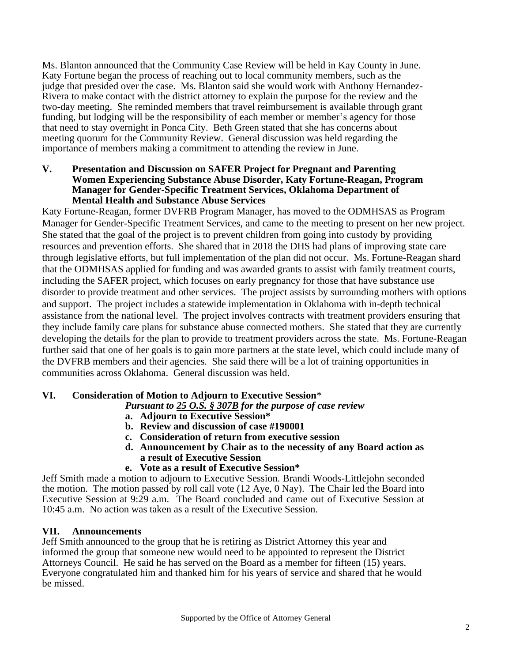Ms. Blanton announced that the Community Case Review will be held in Kay County in June. Katy Fortune began the process of reaching out to local community members, such as the judge that presided over the case. Ms. Blanton said she would work with Anthony Hernandez-Rivera to make contact with the district attorney to explain the purpose for the review and the two-day meeting. She reminded members that travel reimbursement is available through grant funding, but lodging will be the responsibility of each member or member's agency for those that need to stay overnight in Ponca City. Beth Green stated that she has concerns about meeting quorum for the Community Review. General discussion was held regarding the importance of members making a commitment to attending the review in June.

#### **V. Presentation and Discussion on SAFER Project for Pregnant and Parenting Women Experiencing Substance Abuse Disorder, Katy Fortune-Reagan, Program Manager for Gender-Specific Treatment Services, Oklahoma Department of Mental Health and Substance Abuse Services**

Katy Fortune-Reagan, former DVFRB Program Manager, has moved to the ODMHSAS as Program Manager for Gender-Specific Treatment Services, and came to the meeting to present on her new project. She stated that the goal of the project is to prevent children from going into custody by providing resources and prevention efforts. She shared that in 2018 the DHS had plans of improving state care through legislative efforts, but full implementation of the plan did not occur. Ms. Fortune-Reagan shard that the ODMHSAS applied for funding and was awarded grants to assist with family treatment courts, including the SAFER project, which focuses on early pregnancy for those that have substance use disorder to provide treatment and other services. The project assists by surrounding mothers with options and support. The project includes a statewide implementation in Oklahoma with in-depth technical assistance from the national level. The project involves contracts with treatment providers ensuring that they include family care plans for substance abuse connected mothers. She stated that they are currently developing the details for the plan to provide to treatment providers across the state. Ms. Fortune-Reagan further said that one of her goals is to gain more partners at the state level, which could include many of the DVFRB members and their agencies. She said there will be a lot of training opportunities in communities across Oklahoma. General discussion was held.

# **VI. Consideration of Motion to Adjourn to Executive Session**\*

*Pursuant to 25 O.S. § 307B for the purpose of case review*

- **a. Adjourn to Executive Session\***
- **b. Review and discussion of case #190001**
- **c. Consideration of return from executive session**
- **d. Announcement by Chair as to the necessity of any Board action as a result of Executive Session**
- **e. Vote as a result of Executive Session\***

Jeff Smith made a motion to adjourn to Executive Session. Brandi Woods-Littlejohn seconded the motion. The motion passed by roll call vote (12 Aye, 0 Nay). The Chair led the Board into Executive Session at 9:29 a.m. The Board concluded and came out of Executive Session at 10:45 a.m. No action was taken as a result of the Executive Session.

# **VII. Announcements**

Jeff Smith announced to the group that he is retiring as District Attorney this year and informed the group that someone new would need to be appointed to represent the District Attorneys Council. He said he has served on the Board as a member for fifteen (15) years. Everyone congratulated him and thanked him for his years of service and shared that he would be missed.